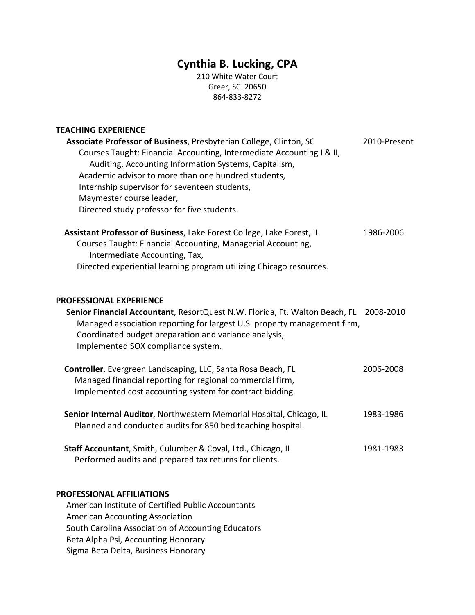# **Cynthia B. Lucking, CPA**

210 White Water Court Greer, SC 20650 864‐833‐8272

### **TEACHING EXPERIENCE**

| <b>Associate Professor of Business, Presbyterian College, Clinton, SC</b>   | 2010-Present |
|-----------------------------------------------------------------------------|--------------|
| Courses Taught: Financial Accounting, Intermediate Accounting I & II,       |              |
| Auditing, Accounting Information Systems, Capitalism,                       |              |
| Academic advisor to more than one hundred students,                         |              |
| Internship supervisor for seventeen students,                               |              |
| Maymester course leader,                                                    |              |
| Directed study professor for five students.                                 |              |
| Assistant Professor of Business, Lake Forest College, Lake Forest, IL       | 1986-2006    |
| Courses Taught: Financial Accounting, Managerial Accounting,                |              |
| Intermediate Accounting, Tax,                                               |              |
| Directed experiential learning program utilizing Chicago resources.         |              |
| <b>PROFESSIONAL EXPERIENCE</b>                                              |              |
| Senior Financial Accountant, ResortQuest N.W. Florida, Ft. Walton Beach, FL | 2008-2010    |
|                                                                             |              |

 Managed association reporting for largest U.S. property management firm, Coordinated budget preparation and variance analysis, Implemented SOX compliance system.

| Controller, Evergreen Landscaping, LLC, Santa Rosa Beach, FL | 2006-2008 |
|--------------------------------------------------------------|-----------|
| Managed financial reporting for regional commercial firm,    |           |
| Implemented cost accounting system for contract bidding.     |           |

| Senior Internal Auditor, Northwestern Memorial Hospital, Chicago, IL | 1983-1986 |
|----------------------------------------------------------------------|-----------|
| Planned and conducted audits for 850 bed teaching hospital.          |           |

**Staff Accountant**, Smith, Culumber & Coval, Ltd., Chicago, IL **1981**-1983 Performed audits and prepared tax returns for clients.

#### **PROFESSIONAL AFFILIATIONS**

American Institute of Certified Public Accountants American Accounting Association South Carolina Association of Accounting Educators Beta Alpha Psi, Accounting Honorary Sigma Beta Delta, Business Honorary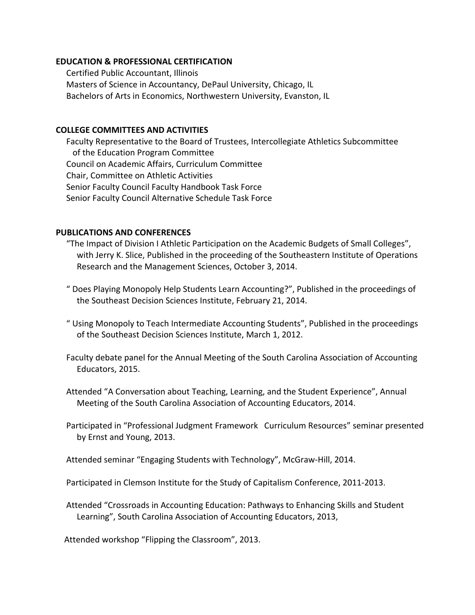## **EDUCATION & PROFESSIONAL CERTIFICATION**

 Certified Public Accountant, Illinois Masters of Science in Accountancy, DePaul University, Chicago, IL Bachelors of Arts in Economics, Northwestern University, Evanston, IL

# **COLLEGE COMMITTEES AND ACTIVITIES**

 Faculty Representative to the Board of Trustees, Intercollegiate Athletics Subcommittee of the Education Program Committee Council on Academic Affairs, Curriculum Committee Chair, Committee on Athletic Activities Senior Faculty Council Faculty Handbook Task Force Senior Faculty Council Alternative Schedule Task Force

## **PUBLICATIONS AND CONFERENCES**

- "The Impact of Division I Athletic Participation on the Academic Budgets of Small Colleges", with Jerry K. Slice, Published in the proceeding of the Southeastern Institute of Operations Research and the Management Sciences, October 3, 2014.
- " Does Playing Monopoly Help Students Learn Accounting?", Published in the proceedings of the Southeast Decision Sciences Institute, February 21, 2014.
- " Using Monopoly to Teach Intermediate Accounting Students", Published in the proceedings of the Southeast Decision Sciences Institute, March 1, 2012.
- Faculty debate panel for the Annual Meeting of the South Carolina Association of Accounting Educators, 2015.
- Attended "A Conversation about Teaching, Learning, and the Student Experience", Annual Meeting of the South Carolina Association of Accounting Educators, 2014.
- Participated in "Professional Judgment Framework Curriculum Resources" seminar presented by Ernst and Young, 2013.
- Attended seminar "Engaging Students with Technology", McGraw‐Hill, 2014.
- Participated in Clemson Institute for the Study of Capitalism Conference, 2011‐2013.
- Attended "Crossroads in Accounting Education: Pathways to Enhancing Skills and Student Learning", South Carolina Association of Accounting Educators, 2013,

Attended workshop "Flipping the Classroom", 2013.